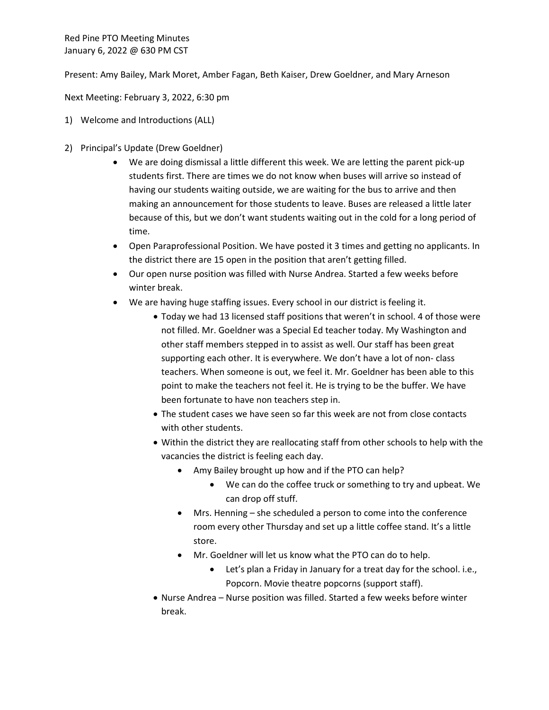Red Pine PTO Meeting Minutes January 6, 2022 @ 630 PM CST

Present: Amy Bailey, Mark Moret, Amber Fagan, Beth Kaiser, Drew Goeldner, and Mary Arneson

Next Meeting: February 3, 2022, 6:30 pm

- 1) Welcome and Introductions (ALL)
- 2) Principal's Update (Drew Goeldner)
	- We are doing dismissal a little different this week. We are letting the parent pick-up students first. There are times we do not know when buses will arrive so instead of having our students waiting outside, we are waiting for the bus to arrive and then making an announcement for those students to leave. Buses are released a little later because of this, but we don't want students waiting out in the cold for a long period of time.
	- Open Paraprofessional Position. We have posted it 3 times and getting no applicants. In the district there are 15 open in the position that aren't getting filled.
	- Our open nurse position was filled with Nurse Andrea. Started a few weeks before winter break.
	- We are having huge staffing issues. Every school in our district is feeling it.
		- Today we had 13 licensed staff positions that weren't in school. 4 of those were not filled. Mr. Goeldner was a Special Ed teacher today. My Washington and other staff members stepped in to assist as well. Our staff has been great supporting each other. It is everywhere. We don't have a lot of non- class teachers. When someone is out, we feel it. Mr. Goeldner has been able to this point to make the teachers not feel it. He is trying to be the buffer. We have been fortunate to have non teachers step in.
		- The student cases we have seen so far this week are not from close contacts with other students.
		- Within the district they are reallocating staff from other schools to help with the vacancies the district is feeling each day.
			- Amy Bailey brought up how and if the PTO can help?
				- We can do the coffee truck or something to try and upbeat. We can drop off stuff.
			- Mrs. Henning she scheduled a person to come into the conference room every other Thursday and set up a little coffee stand. It's a little store.
			- Mr. Goeldner will let us know what the PTO can do to help.
				- Let's plan a Friday in January for a treat day for the school. i.e., Popcorn. Movie theatre popcorns (support staff).
		- Nurse Andrea Nurse position was filled. Started a few weeks before winter break.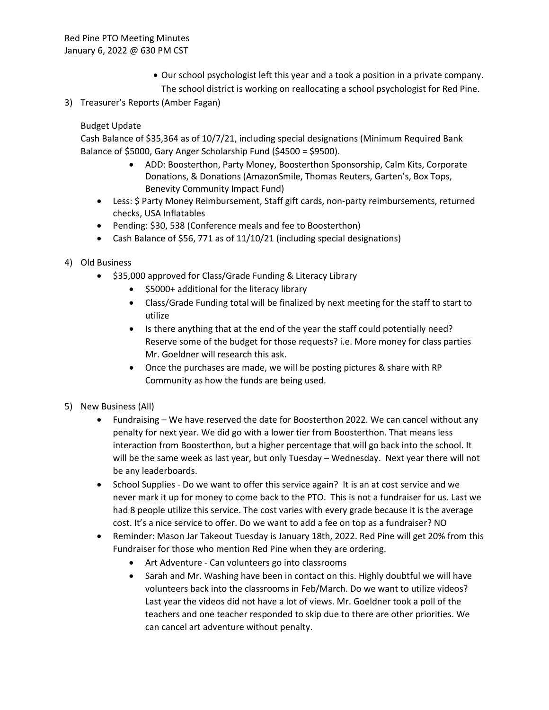- Our school psychologist left this year and a took a position in a private company. The school district is working on reallocating a school psychologist for Red Pine.
- 3) Treasurer's Reports (Amber Fagan)

Budget Update

Cash Balance of \$35,364 as of 10/7/21, including special designations (Minimum Required Bank Balance of \$5000, Gary Anger Scholarship Fund (\$4500 = \$9500).

- ADD: Boosterthon, Party Money, Boosterthon Sponsorship, Calm Kits, Corporate Donations, & Donations (AmazonSmile, Thomas Reuters, Garten's, Box Tops, Benevity Community Impact Fund)
- Less: \$ Party Money Reimbursement, Staff gift cards, non-party reimbursements, returned checks, USA Inflatables
- Pending: \$30, 538 (Conference meals and fee to Boosterthon)
- Cash Balance of \$56, 771 as of 11/10/21 (including special designations)
- 4) Old Business
	- \$35,000 approved for Class/Grade Funding & Literacy Library
		- \$5000+ additional for the literacy library
		- Class/Grade Funding total will be finalized by next meeting for the staff to start to utilize
		- Is there anything that at the end of the year the staff could potentially need? Reserve some of the budget for those requests? i.e. More money for class parties Mr. Goeldner will research this ask.
		- Once the purchases are made, we will be posting pictures & share with RP Community as how the funds are being used.
- 5) New Business (All)
	- Fundraising We have reserved the date for Boosterthon 2022. We can cancel without any penalty for next year. We did go with a lower tier from Boosterthon. That means less interaction from Boosterthon, but a higher percentage that will go back into the school. It will be the same week as last year, but only Tuesday – Wednesday. Next year there will not be any leaderboards.
	- School Supplies Do we want to offer this service again? It is an at cost service and we never mark it up for money to come back to the PTO. This is not a fundraiser for us. Last we had 8 people utilize this service. The cost varies with every grade because it is the average cost. It's a nice service to offer. Do we want to add a fee on top as a fundraiser? NO
	- Reminder: Mason Jar Takeout Tuesday is January 18th, 2022. Red Pine will get 20% from this Fundraiser for those who mention Red Pine when they are ordering.
		- Art Adventure Can volunteers go into classrooms
		- Sarah and Mr. Washing have been in contact on this. Highly doubtful we will have volunteers back into the classrooms in Feb/March. Do we want to utilize videos? Last year the videos did not have a lot of views. Mr. Goeldner took a poll of the teachers and one teacher responded to skip due to there are other priorities. We can cancel art adventure without penalty.